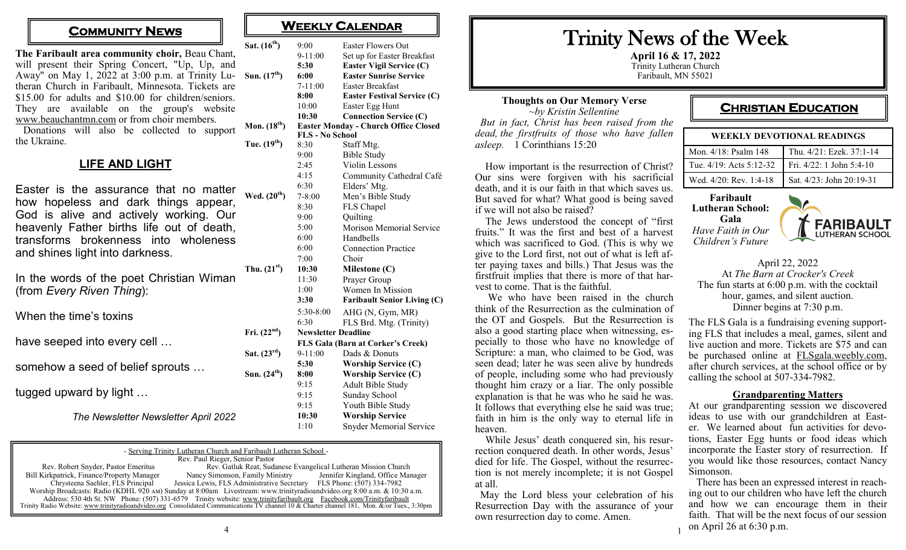**The Faribault area community choir,** Beau Chant, will present their Spring Concert, "Up, Up, and Away" on May 1, 2022 at 3:00 p.m. at Trinity Lu-**Sun. (17th) 6:00 Easter Sunrise Service** theran Church in Faribault, Minnesota. Tickets are \$15.00 for adults and \$10.00 for children/seniors. They are available on the group's website [www.beauchantmn.com](http://www.beauchantmn.com) or from choir members.  $Sat. (16<sup>th</sup>)$ 

 Donations will also be collected to support the Ukraine. **Mon.**  $(18^t$  $T$ **ue.**  $(19<sup>th</sup>)$ 

## **LIFE AND LIGHT**

Easter is the assurance that no matter how hopeless and dark things appear, God is alive and actively working. Our heavenly Father births life out of death, transforms brokenness into wholeness and shines light into darkness.  $Wed. (20<sup>t</sup>)$ 

In the words of the poet Christian Wiman (from *Every Riven Thing*):  $\int$  **Thu.**  $(21^{\text{st}})$ 

When the time's toxins

have seeped into every cell …

somehow a seed of belief sprouts …

tugged upward by light …

*The Newsletter Newsletter April 2022*

| - Serving Trinity Lutheran Church and Faribault Lutheran School -                                                                            |                                                                                                                          |                                   |  |  |
|----------------------------------------------------------------------------------------------------------------------------------------------|--------------------------------------------------------------------------------------------------------------------------|-----------------------------------|--|--|
| Rev. Paul Rieger, Senior Pastor                                                                                                              |                                                                                                                          |                                   |  |  |
| Rev. Robert Snyder, Pastor Emeritus                                                                                                          | Rev. Gatluk Reat, Sudanese Evangelical Lutheran Mission Church                                                           |                                   |  |  |
| Bill Kirkpatrick, Finance/Property Manager                                                                                                   | Nancy Simonson, Family Ministry                                                                                          | Jennifer Kingland, Office Manager |  |  |
| Chrysteena Saehler, FLS Principal                                                                                                            | Jessica Lewis, FLS Administrative Secretary FLS Phone: (507) 334-7982                                                    |                                   |  |  |
|                                                                                                                                              | Worship Broadcasts: Radio (KDHL 920 AM) Sunday at 8:00am Livestream: www.trinityradioandvideo.org 8:00 a.m. & 10:30 a.m. |                                   |  |  |
|                                                                                                                                              | Address: 530 4th St. NW Phone: (507) 331-6579 Trinity website: www.trinityfaribault.org Facebook.com/Trinityfaribault    |                                   |  |  |
| Trinity Radio Website: www.trinityradioandvideo.org Consolidated Communications TV channel 10 & Charter channel 181, Mon. &/or Tues., 3:30pm |                                                                                                                          |                                   |  |  |

 $Fri. (22<sup>nd</sup>)$ 

 $Sat. (23<sup>rd</sup>)$ 

 $Sum. (24<sup>th</sup>)$ 

# **COMMUNITY NEWS COMMUNITY**

|    | 9:00                              | <b>Easter Flowers Out</b>                   |  |
|----|-----------------------------------|---------------------------------------------|--|
|    | $9-11:00$                         | Set up for Easter Breakfast                 |  |
|    | 5:30                              | Easter Vigil Service (C)                    |  |
| ') | 6:00                              | <b>Easter Sunrise Service</b>               |  |
|    | $7 - 11:00$                       | <b>Easter Breakfast</b>                     |  |
|    | 8:00                              | <b>Easter Festival Service (C)</b>          |  |
|    | 10:00                             | Easter Egg Hunt                             |  |
|    | 10:30                             | <b>Connection Service (C)</b>               |  |
| h) |                                   | <b>Easter Monday - Church Office Closed</b> |  |
|    | <b>FLS - No School</b>            |                                             |  |
| 5  | 8:30                              | Staff Mtg.                                  |  |
|    | 9:00                              | <b>Bible Study</b>                          |  |
|    | 2:45                              | Violin Lessons                              |  |
|    | 4:15                              | Community Cathedral Café                    |  |
|    | 6:30                              | Elders' Mtg.                                |  |
| h) | $7 - 8:00$                        | Men's Bible Study                           |  |
|    | 8:30                              | FLS Chapel                                  |  |
|    | 9:00                              | Quilting                                    |  |
|    | 5:00                              | Morison Memorial Service                    |  |
|    | 6:00                              | Handbells                                   |  |
|    | 6:00                              | <b>Connection Practice</b>                  |  |
|    | 7:00                              | Choir                                       |  |
| 5  | 10:30                             | Milestone (C)                               |  |
|    | 11:30                             | Prayer Group                                |  |
|    | 1:00                              | Women In Mission                            |  |
|    | 3:30                              | <b>Faribault Senior Living (C)</b>          |  |
|    | 5:30-8:00                         | AHG (N, Gym, MR)                            |  |
|    | 6:30                              | FLS Brd. Mtg. (Trinity)                     |  |
|    | <b>Newsletter Deadline</b>        |                                             |  |
|    | FLS Gala (Barn at Corker's Creek) |                                             |  |
|    | $9-11:00$                         | Dads & Donuts                               |  |
|    | 5:30                              | <b>Worship Service (C)</b>                  |  |
| 5  | 8:00                              | <b>Worship Service (C)</b>                  |  |
|    | 9:15                              | Adult Bible Study                           |  |
|    | 9:15                              | Sunday School                               |  |
|    | 9:15                              | Youth Bible Study                           |  |
|    | 10:30                             | <b>Worship Service</b>                      |  |
|    | 1:10                              | <b>Snyder Memorial Service</b>              |  |
|    |                                   |                                             |  |

# Trinity News of the Week

**April 16 & 17, 2022** Trinity Lutheran Church Faribault, MN 55021

1

#### **Thoughts on Our Memory Verse** *~by Kristin Sellentine But in fact, Christ has been raised from the dead, the firstfruits of those who have fallen asleep.* 1 Corinthians 15:20

 How important is the resurrection of Christ? Our sins were forgiven with his sacrificial death, and it is our faith in that which saves us. But saved for what? What good is being saved if we will not also be raised?

 The Jews understood the concept of "first fruits." It was the first and best of a harvest which was sacrificed to God. (This is why we give to the Lord first, not out of what is left after paying taxes and bills.) That Jesus was the firstfruit implies that there is more of that harvest to come. That is the faithful.

 We who have been raised in the church think of the Resurrection as the culmination of the OT and Gospels. But the Resurrection is also a good starting place when witnessing, especially to those who have no knowledge of Scripture: a man, who claimed to be God, was seen dead; later he was seen alive by hundreds of people, including some who had previously thought him crazy or a liar. The only possible explanation is that he was who he said he was. It follows that everything else he said was true; faith in him is the only way to eternal life in heaven.

 While Jesus' death conquered sin, his resurrection conquered death. In other words, Jesus' died for life. The Gospel, without the resurrection is not merely incomplete; it is not Gospel at all.

 May the Lord bless your celebration of his Resurrection Day with the assurance of your own resurrection day to come. Amen.

# **CHRISTIAN EDUCATION**

| WEEKLY DEVOTIONAL READINGS   |                          |  |
|------------------------------|--------------------------|--|
| Mon. 4/18: Psalm 148         | Thu. 4/21: Ezek. 37:1-14 |  |
| Tue. $4/19$ : Acts $5:12-32$ | Fri. 4/22: 1 John 5:4-10 |  |
| Wed. 4/20: Rev. 1:4-18       | Sat. 4/23: John 20:19-31 |  |

**Faribault Lutheran School: Gala** *Have Faith in Our Children's Future*



April 22, 2022 At *The Barn at Crocker's Creek* The fun starts at 6:00 p.m. with the cocktail hour, games, and silent auction. Dinner begins at 7:30 p.m.

The FLS Gala is a fundraising evening supporting FLS that includes a meal, games, silent and live auction and more. Tickets are \$75 and can be purchased online at [FLSgala.weebly.com,](http://FLSgala.weebly.com)  after church services, at the school office or by calling the school at 507-334-7982.

#### **Grandparenting Matters**

At our grandparenting session we discovered ideas to use with our grandchildren at Easter. We learned about fun activities for devotions, Easter Egg hunts or food ideas which incorporate the Easter story of resurrection. If you would like those resources, contact Nancy Simonson.

 There has been an expressed interest in reaching out to our children who have left the church and how we can encourage them in their faith. That will be the next focus of our session on April 26 at 6:30 p.m.